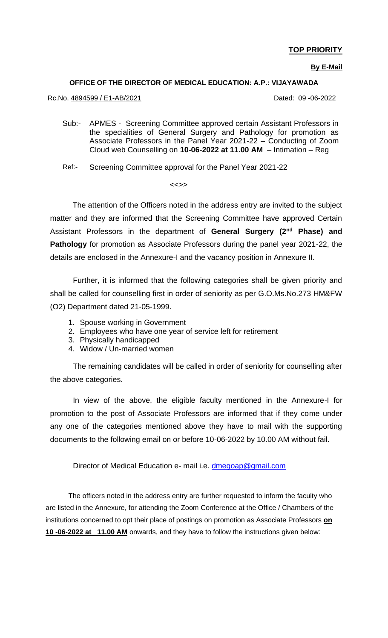### **TOP PRIORITY**

**By E-Mail**

#### **OFFICE OF THE DIRECTOR OF MEDICAL EDUCATION: A.P.: VIJAYAWADA**

Rc.No. 4894599 / E1-AB/2021 Dated: 09 -06-2022

- $Sub:$ APMES - Screening Committee approved certain Assistant Professors in the specialities of General Surgery and Pathology for promotion as Associate Professors in the Panel Year 2021-22 – Conducting of Zoom Cloud web Counselling on **10-06-2022 at 11.00 AM** – Intimation – Reg
- Ref:- Screening Committee approval for the Panel Year 2021-22

#### <<>>

 The attention of the Officers noted in the address entry are invited to the subject matter and they are informed that the Screening Committee have approved Certain Assistant Professors in the department of **General Surgery (2nd Phase) and Pathology** for promotion as Associate Professors during the panel year 2021-22, the details are enclosed in the Annexure-I and the vacancy position in Annexure II.

Further, it is informed that the following categories shall be given priority and shall be called for counselling first in order of seniority as per G.O.Ms.No.273 HM&FW (O2) Department dated 21-05-1999.

- 1. Spouse working in Government
- 2. Employees who have one year of service left for retirement
- 3. Physically handicapped
- 4. Widow / Un-married women

The remaining candidates will be called in order of seniority for counselling after the above categories.

In view of the above, the eligible faculty mentioned in the Annexure-I for promotion to the post of Associate Professors are informed that if they come under any one of the categories mentioned above they have to mail with the supporting documents to the following email on or before 10-06-2022 by 10.00 AM without fail.

Director of Medical Education e- mail i.e. [dmegoap@gmail.com](mailto:dmegoap@gmail.com)

The officers noted in the address entry are further requested to inform the faculty who are listed in the Annexure, for attending the Zoom Conference at the Office / Chambers of the institutions concerned to opt their place of postings on promotion as Associate Professors **on 10 -06-2022 at 11.00 AM** onwards, and they have to follow the instructions given below: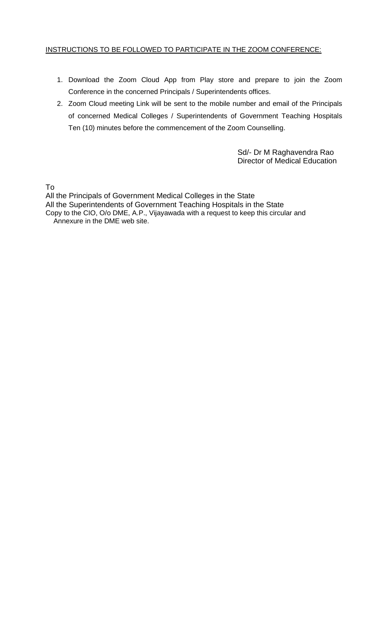#### INSTRUCTIONS TO BE FOLLOWED TO PARTICIPATE IN THE ZOOM CONFERENCE:

- 1. Download the Zoom Cloud App from Play store and prepare to join the Zoom Conference in the concerned Principals / Superintendents offices.
- 2. Zoom Cloud meeting Link will be sent to the mobile number and email of the Principals of concerned Medical Colleges / Superintendents of Government Teaching Hospitals Ten (10) minutes before the commencement of the Zoom Counselling.

 Sd/- Dr M Raghavendra Rao Director of Medical Education

To

All the Principals of Government Medical Colleges in the State All the Superintendents of Government Teaching Hospitals in the State Copy to the CIO, O/o DME, A.P., Vijayawada with a request to keep this circular and Annexure in the DME web site.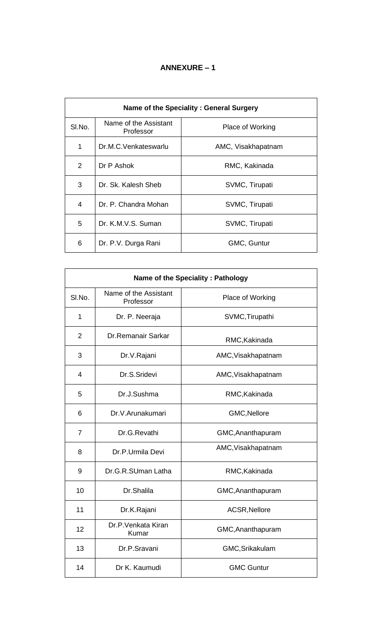### **ANNEXURE – 1**

| Name of the Speciality : General Surgery |                                    |                    |  |  |  |
|------------------------------------------|------------------------------------|--------------------|--|--|--|
| SI.No.                                   | Name of the Assistant<br>Professor | Place of Working   |  |  |  |
| 1                                        | Dr.M.C.Venkateswarlu               | AMC, Visakhapatnam |  |  |  |
| $\mathcal{P}$                            | Dr P Ashok                         | RMC, Kakinada      |  |  |  |
| 3                                        | Dr. Sk. Kalesh Sheb                | SVMC, Tirupati     |  |  |  |
| 4                                        | Dr. P. Chandra Mohan               | SVMC, Tirupati     |  |  |  |
| 5                                        | Dr. K.M.V.S. Suman                 | SVMC, Tirupati     |  |  |  |
| 6                                        | Dr. P.V. Durga Rani                | GMC, Guntur        |  |  |  |

| Name of the Speciality: Pathology |                                    |                    |  |  |  |
|-----------------------------------|------------------------------------|--------------------|--|--|--|
| SI.No.                            | Name of the Assistant<br>Professor | Place of Working   |  |  |  |
| $\mathbf{1}$                      | Dr. P. Neeraja                     | SVMC, Tirupathi    |  |  |  |
| $\overline{2}$                    | <b>Dr.Remanair Sarkar</b>          | RMC, Kakinada      |  |  |  |
| 3                                 | Dr.V.Rajani                        | AMC, Visakhapatnam |  |  |  |
| $\overline{4}$                    | Dr.S.Sridevi                       | AMC, Visakhapatnam |  |  |  |
| 5                                 | Dr.J.Sushma                        | RMC, Kakinada      |  |  |  |
| 6                                 | Dr.V.Arunakumari                   | GMC, Nellore       |  |  |  |
| $\overline{7}$                    | Dr.G.Revathi                       | GMC, Ananthapuram  |  |  |  |
| 8                                 | Dr.P.Urmila Devi                   | AMC, Visakhapatnam |  |  |  |
| 9                                 | Dr.G.R.SUman Latha                 | RMC, Kakinada      |  |  |  |
| 10                                | Dr.Shalila                         | GMC, Ananthapuram  |  |  |  |
| 11                                | Dr.K.Rajani                        | ACSR, Nellore      |  |  |  |
| 12                                | Dr.P.Venkata Kiran<br>Kumar        | GMC, Ananthapuram  |  |  |  |
| 13                                | Dr.P.Sravani                       | GMC, Srikakulam    |  |  |  |
| 14                                | Dr K. Kaumudi                      | <b>GMC Guntur</b>  |  |  |  |